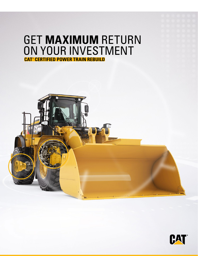# GET **MAXIMUM** RETURN ON YOUR INVESTMENT **CAT® CERTIFIED POWER TRAIN REBUILD**



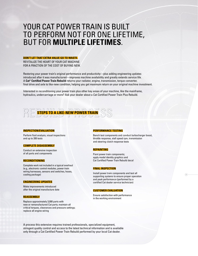## YOUR CAT POWER TRAIN IS BUILT TO PERFORM NOT FOR ONE LIFETIME, BUT FOR **MULTIPLE LIFETIMES**.

#### **DON'T LET THAT EXTRA VALUE GO TO WASTE.**

REVITALIZE THE HEART OF YOUR CAT MACHINE FOR A FRACTION OF THE COST OF BUYING NEW.

Restoring your power train's original performance and productivity—plus adding engineering updates introduced after it was manufactured—improves machine availability and greatly extends service life. A **Cat® Certified Power Train Rebuild** returns your radiator, engine, transmission, torque converter, final drive and axle to like-new condition, helping you get maximum return on your original machine investment.

Interested in reconditioning your power train plus other key areas of your machine, like the mainframe, hydraulics, undercarriage or more? Ask your dealer about a Cat Certified Power Train Plus Rebuild.

# **STEPS TO A LIKE-NEW POWER TRAIN**

#### **INSPECTION/EVALUATION**

Perform fluid analysis, visual inspections and up to 200 tests

#### **COMPLETE DISASSEMBLY**

Conduct an extensive inspection of all parts and components

#### **RECONDITIONING**

Complete work not included in a typical overhaul (e.g., electronic control modules, power train wiring harnesses, sensors and switches, hoses, cooling package)

#### **ENGINEERING UPDATES**

Make improvements introduced after the original manufacture date

#### **REASSEMBLY**

Replace approximately 3,000 parts with new or remanufactured Cat parts; maintain all critical torques, clearances and pressure settings; replace all engine wiring

#### **PERFORMANCE TESTING**

Bench test components and conduct turbocharger boost, throttle response, stall speed rpm, transmission and steering clutch response tests

#### **REPAINTING**

Paint power train components; apply model identity graphics and Cat Certified Power Train Rebuild decal

#### **FINAL INSPECTION**

Install power train components and test all supporting systems to ensure proper operation and peak performance (performed by a certified Cat dealer service technician)

 $\circledcirc$ 

#### **CUSTOMER EVALUATION**

Ensure satisfaction with performance in the working environment

A process this extensive requires trained professionals, specialized equipment, stringent quality control and access to the latest technical information and is available only through a Cat Certified Power Train Rebuild performed by your local Cat dealer.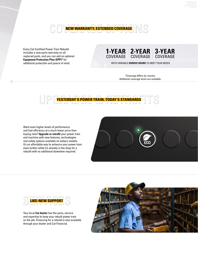

Every Cat Certified Power Train Rebuild includes a new parts warranty on all replaced parts, and you can add an optional **Equipment Protection Plan (EPP)\*** for

 $\odot$ 

### **1-YEAR 2-YEAR 3-YEAR** COVERAGE COVERAGE COVERAGE

additional protection and peace of mind. WITH VARIABLE **SERVICE HOURS** TO MEET YOUR NEEDS

\*Coverage differs by country. Additional coverage terms are available.



Want even higher levels of performance and fuel efficiency at a much lower price than buying new? **Upgrade or retrofit** your power train and machine with new features, technologies and safety options available on today's models. It's an affordable way to enhance your power train even further while it's already in the shop for a rebuild with no additional downtime required.





Your local **Cat dealer** has the parts, service and expertise to keep your rebuilt power train on the job. Financing for a rebuild is also available through your dealer and Cat Financial.